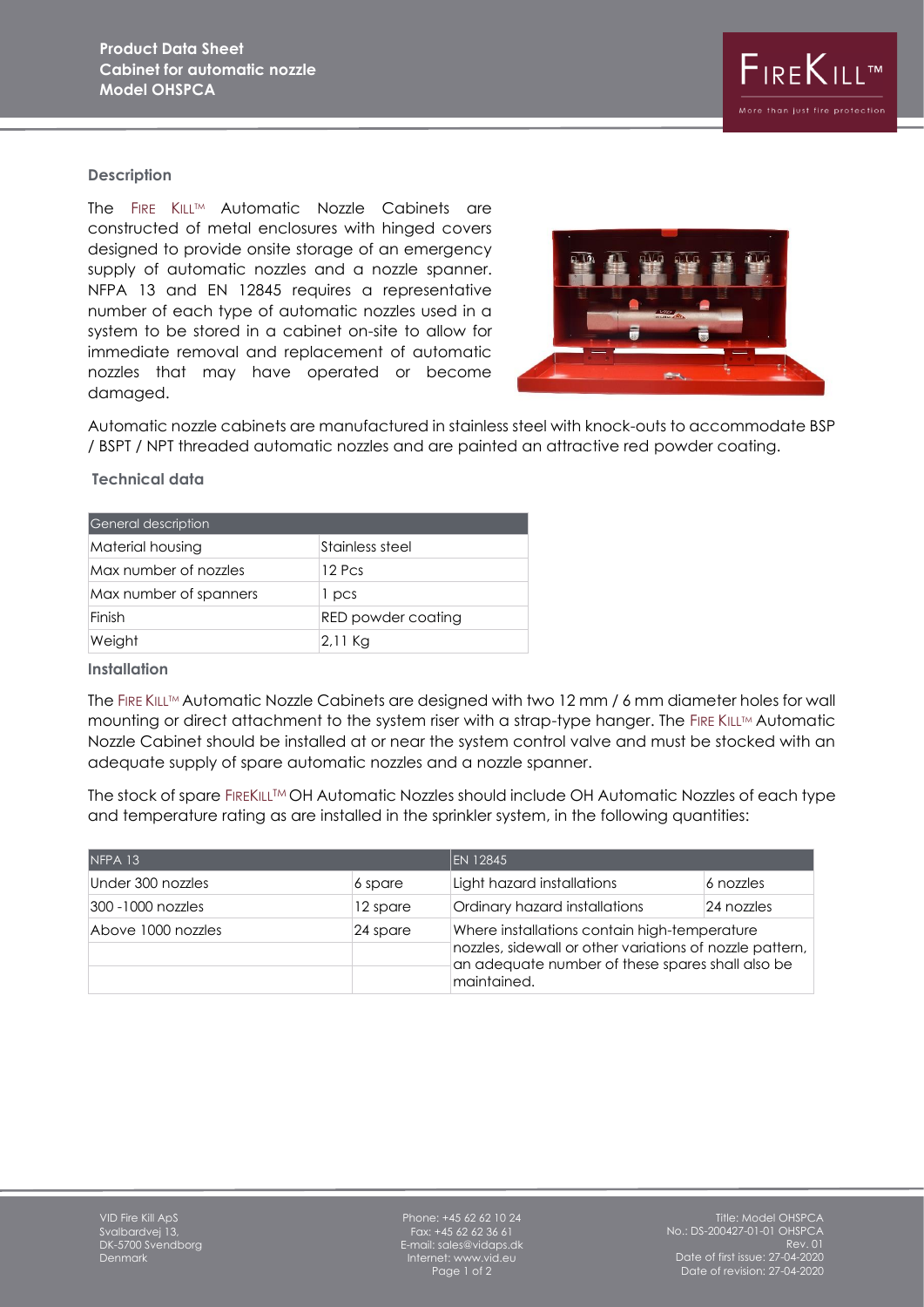

### **Description**

The FIRE KILL™ Automatic Nozzle Cabinets are constructed of metal enclosures with hinged covers designed to provide onsite storage of an emergency supply of automatic nozzles and a nozzle spanner. NFPA 13 and EN 12845 requires a representative number of each type of automatic nozzles used in a system to be stored in a cabinet on-site to allow for immediate removal and replacement of automatic nozzles that may have operated or become damaged.



Automatic nozzle cabinets are manufactured in stainless steel with knock-outs to accommodate BSP / BSPT / NPT threaded automatic nozzles and are painted an attractive red powder coating.

### **Technical data**

| General description    |                    |  |
|------------------------|--------------------|--|
| Material housing       | Stainless steel    |  |
| Max number of nozzles  | 12 Pcs             |  |
| Max number of spanners | 1 pcs              |  |
| Finish                 | RED powder coating |  |
| Weight                 | 2,11 Kg            |  |

# **Installation**

The FIRE KILL™ Automatic Nozzle Cabinets are designed with two 12 mm / 6 mm diameter holes for wall mounting or direct attachment to the system riser with a strap-type hanger. The FIRE KILLTM Automatic Nozzle Cabinet should be installed at or near the system control valve and must be stocked with an adequate supply of spare automatic nozzles and a nozzle spanner.

The stock of spare FIREKILL™ OH Automatic Nozzles should include OH Automatic Nozzles of each type and temperature rating as are installed in the sprinkler system, in the following quantities:

| NFPA 13            |          | <b>EN 12845</b>                                                                                                                                                             |            |
|--------------------|----------|-----------------------------------------------------------------------------------------------------------------------------------------------------------------------------|------------|
| Under 300 nozzles  | 6 spare  | Light hazard installations                                                                                                                                                  | 6 nozzles  |
| 300 -1000 nozzles  | 12 spare | Ordinary hazard installations                                                                                                                                               | 24 nozzles |
| Above 1000 nozzles | 24 spare | Where installations contain high-temperature<br>nozzles, sidewall or other variations of nozzle pattern,<br>an adequate number of these spares shall also be<br>maintained. |            |

Phone:  $+45$  62 62 10 24 Fax: +45 62 62 36 61 E-mail: sales@vidaps.dk Internet: www.vid.eu Page 1 of 2